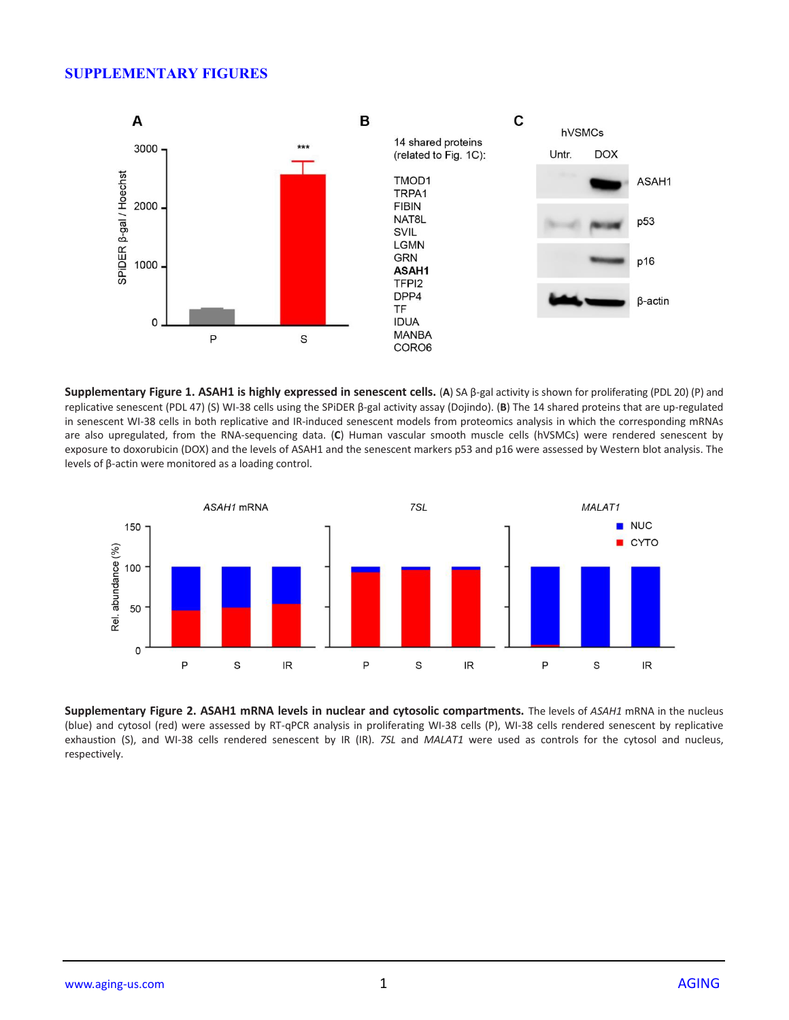## **SUPPLEMENTARY FIGURES**



**Supplementary Figure 1. ASAH1 is highly expressed in senescent cells.** (**A**) SA β-gal activity is shown for proliferating (PDL 20) (P) and replicative senescent (PDL 47) (S) WI-38 cells using the SPiDER β-gal activity assay (Dojindo). (**B**) The 14 shared proteins that are up-regulated in senescent WI-38 cells in both replicative and IR-induced senescent models from proteomics analysis in which the corresponding mRNAs are also upregulated, from the RNA-sequencing data. (**C**) Human vascular smooth muscle cells (hVSMCs) were rendered senescent by exposure to doxorubicin (DOX) and the levels of ASAH1 and the senescent markers p53 and p16 were assessed by Western blot analysis. The levels of β-actin were monitored as a loading control.



**Supplementary Figure 2. ASAH1 mRNA levels in nuclear and cytosolic compartments.** The levels of *ASAH1* mRNA in the nucleus (blue) and cytosol (red) were assessed by RT-qPCR analysis in proliferating WI-38 cells (P), WI-38 cells rendered senescent by replicative exhaustion (S), and WI-38 cells rendered senescent by IR (IR). *7SL* and *MALAT1* were used as controls for the cytosol and nucleus, respectively.